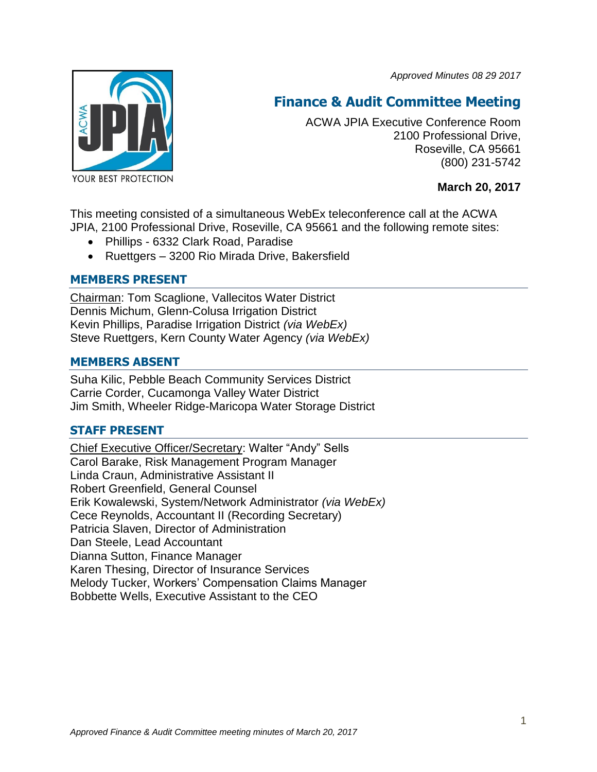*Approved Minutes 08 29 2017*



# **Finance & Audit Committee Meeting**

ACWA JPIA Executive Conference Room 2100 Professional Drive, Roseville, CA 95661 (800) 231-5742

**March 20, 2017**

This meeting consisted of a simultaneous WebEx teleconference call at the ACWA JPIA, 2100 Professional Drive, Roseville, CA 95661 and the following remote sites:

- Phillips 6332 Clark Road, Paradise
- Ruettgers 3200 Rio Mirada Drive, Bakersfield

# **MEMBERS PRESENT**

Chairman: Tom Scaglione, Vallecitos Water District Dennis Michum, Glenn-Colusa Irrigation District Kevin Phillips, Paradise Irrigation District *(via WebEx)* Steve Ruettgers, Kern County Water Agency *(via WebEx)*

## **MEMBERS ABSENT**

Suha Kilic, Pebble Beach Community Services District Carrie Corder, Cucamonga Valley Water District Jim Smith, Wheeler Ridge-Maricopa Water Storage District

## **STAFF PRESENT**

Chief Executive Officer/Secretary: Walter "Andy" Sells Carol Barake, Risk Management Program Manager Linda Craun, Administrative Assistant II Robert Greenfield, General Counsel Erik Kowalewski, System/Network Administrator *(via WebEx)* Cece Reynolds, Accountant II (Recording Secretary) Patricia Slaven, Director of Administration Dan Steele, Lead Accountant Dianna Sutton, Finance Manager Karen Thesing, Director of Insurance Services Melody Tucker, Workers' Compensation Claims Manager Bobbette Wells, Executive Assistant to the CEO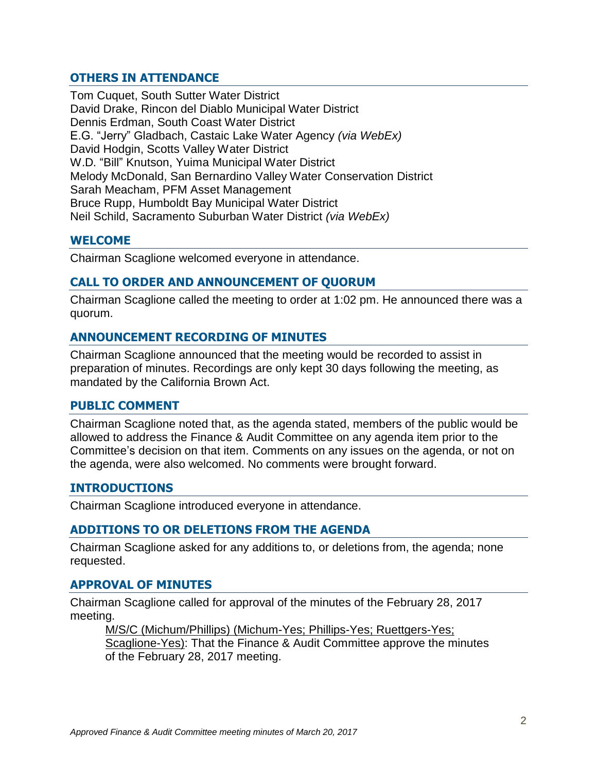# **OTHERS IN ATTENDANCE**

Tom Cuquet, South Sutter Water District David Drake, Rincon del Diablo Municipal Water District Dennis Erdman, South Coast Water District E.G. "Jerry" Gladbach, Castaic Lake Water Agency *(via WebEx)* David Hodgin, Scotts Valley Water District W.D. "Bill" Knutson, Yuima Municipal Water District Melody McDonald, San Bernardino Valley Water Conservation District Sarah Meacham, PFM Asset Management Bruce Rupp, Humboldt Bay Municipal Water District Neil Schild, Sacramento Suburban Water District *(via WebEx)*

#### **WELCOME**

Chairman Scaglione welcomed everyone in attendance.

## **CALL TO ORDER AND ANNOUNCEMENT OF QUORUM**

Chairman Scaglione called the meeting to order at 1:02 pm. He announced there was a quorum.

#### **ANNOUNCEMENT RECORDING OF MINUTES**

Chairman Scaglione announced that the meeting would be recorded to assist in preparation of minutes. Recordings are only kept 30 days following the meeting, as mandated by the California Brown Act.

#### **PUBLIC COMMENT**

Chairman Scaglione noted that, as the agenda stated, members of the public would be allowed to address the Finance & Audit Committee on any agenda item prior to the Committee's decision on that item. Comments on any issues on the agenda, or not on the agenda, were also welcomed. No comments were brought forward.

#### **INTRODUCTIONS**

Chairman Scaglione introduced everyone in attendance.

#### **ADDITIONS TO OR DELETIONS FROM THE AGENDA**

Chairman Scaglione asked for any additions to, or deletions from, the agenda; none requested.

#### **APPROVAL OF MINUTES**

Chairman Scaglione called for approval of the minutes of the February 28, 2017 meeting.

M/S/C (Michum/Phillips) (Michum-Yes; Phillips-Yes; Ruettgers-Yes;

Scaglione-Yes): That the Finance & Audit Committee approve the minutes of the February 28, 2017 meeting.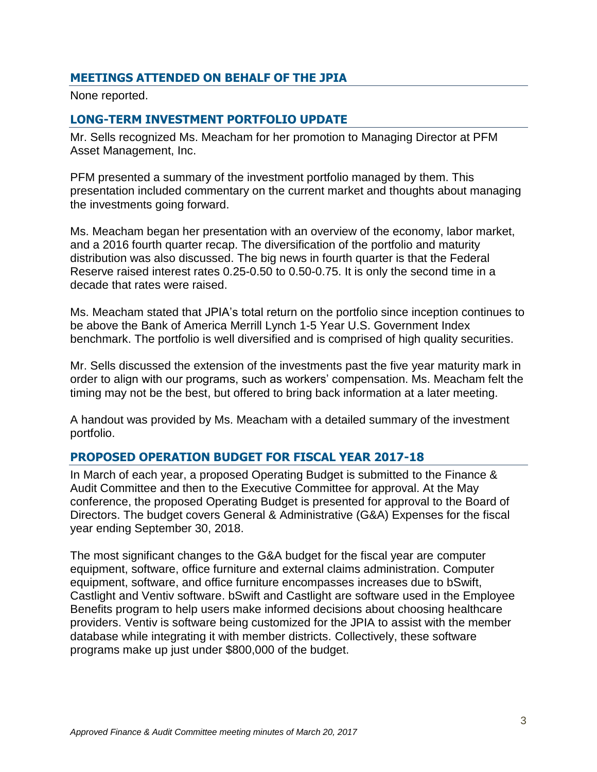# **MEETINGS ATTENDED ON BEHALF OF THE JPIA**

None reported.

# **LONG-TERM INVESTMENT PORTFOLIO UPDATE**

Mr. Sells recognized Ms. Meacham for her promotion to Managing Director at PFM Asset Management, Inc.

PFM presented a summary of the investment portfolio managed by them. This presentation included commentary on the current market and thoughts about managing the investments going forward.

Ms. Meacham began her presentation with an overview of the economy, labor market, and a 2016 fourth quarter recap. The diversification of the portfolio and maturity distribution was also discussed. The big news in fourth quarter is that the Federal Reserve raised interest rates 0.25-0.50 to 0.50-0.75. It is only the second time in a decade that rates were raised.

Ms. Meacham stated that JPIA's total return on the portfolio since inception continues to be above the Bank of America Merrill Lynch 1-5 Year U.S. Government Index benchmark. The portfolio is well diversified and is comprised of high quality securities.

Mr. Sells discussed the extension of the investments past the five year maturity mark in order to align with our programs, such as workers' compensation. Ms. Meacham felt the timing may not be the best, but offered to bring back information at a later meeting.

A handout was provided by Ms. Meacham with a detailed summary of the investment portfolio.

## **PROPOSED OPERATION BUDGET FOR FISCAL YEAR 2017-18**

In March of each year, a proposed Operating Budget is submitted to the Finance & Audit Committee and then to the Executive Committee for approval. At the May conference, the proposed Operating Budget is presented for approval to the Board of Directors. The budget covers General & Administrative (G&A) Expenses for the fiscal year ending September 30, 2018.

The most significant changes to the G&A budget for the fiscal year are computer equipment, software, office furniture and external claims administration. Computer equipment, software, and office furniture encompasses increases due to bSwift, Castlight and Ventiv software. bSwift and Castlight are software used in the Employee Benefits program to help users make informed decisions about choosing healthcare providers. Ventiv is software being customized for the JPIA to assist with the member database while integrating it with member districts. Collectively, these software programs make up just under \$800,000 of the budget.